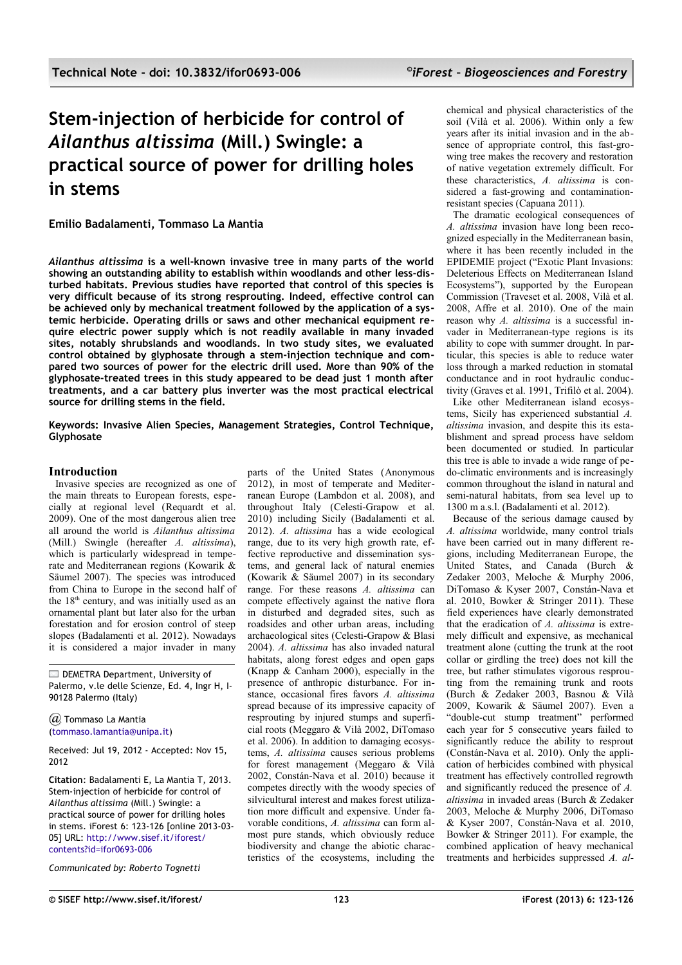# **Stem-injection of herbicide for control of** *Ailanthus altissima* **(Mill.) Swingle: a practical source of power for drilling holes in stems**

**Emilio Badalamenti, Tommaso La Mantia**

*Ailanthus altissima* **is a well-known invasive tree in many parts of the world showing an outstanding ability to establish within woodlands and other less-disturbed habitats. Previous studies have reported that control of this species is very difficult because of its strong resprouting. Indeed, effective control can be achieved only by mechanical treatment followed by the application of a systemic herbicide. Operating drills or saws and other mechanical equipment require electric power supply which is not readily available in many invaded sites, notably shrubslands and woodlands. In two study sites, we evaluated control obtained by glyphosate through a stem-injection technique and compared two sources of power for the electric drill used. More than 90% of the glyphosate-treated trees in this study appeared to be dead just 1 month after treatments, and a car battery plus inverter was the most practical electrical source for drilling stems in the field.**

**Keywords: Invasive Alien Species, Management Strategies, Control Technique, Glyphosate** 

# **Introduction**

Invasive species are recognized as one of the main threats to European forests, especially at regional level (Requardt et al. 2009). One of the most dangerous alien tree all around the world is *Ailanthus altissima* (Mill.) Swingle (hereafter *A. altissima*), which is particularly widespread in temperate and Mediterranean regions (Kowarik & Säumel 2007). The species was introduced from China to Europe in the second half of the 18th century, and was initially used as an ornamental plant but later also for the urban forestation and for erosion control of steep slopes (Badalamenti et al. 2012). Nowadays it is considered a major invader in many

DEMETRA Department, University of Palermo, v.le delle Scienze, Ed. 4, Ingr H, I-90128 Palermo (Italy)

*@* Tommaso La Mantia [\(tommaso.lamantia@unipa.it\)](mailto:)

Received: Jul 19, 2012 - Accepted: Nov 15, 2012

**Citation**: Badalamenti E, La Mantia T, 2013. Stem-injection of herbicide for control of *Ailanthus altissima* (Mill.) Swingle: a practical source of power for drilling holes in stems. iForest 6: 123-126 [online 2013-03- 05] URL: [http://www.sisef.it/iforest/](http://www.sisef.it/iforest/contents?id=ifor0693-006) [contents?id=ifor0693-006](http://www.sisef.it/iforest/contents?id=ifor0693-006)

*Communicated by: Roberto Tognetti*

parts of the United States (Anonymous 2012), in most of temperate and Mediterranean Europe (Lambdon et al. 2008), and throughout Italy (Celesti-Grapow et al. 2010) including Sicily (Badalamenti et al. 2012). *A. altissima* has a wide ecological range, due to its very high growth rate, effective reproductive and dissemination systems, and general lack of natural enemies (Kowarik  $\&$  Säumel 2007) in its secondary range. For these reasons *A. altissima* can compete effectively against the native flora in disturbed and degraded sites, such as roadsides and other urban areas, including archaeological sites (Celesti-Grapow & Blasi 2004). *A. altissima* has also invaded natural habitats, along forest edges and open gaps (Knapp & Canham 2000), especially in the presence of anthropic disturbance. For instance, occasional fires favors *A. altissima* spread because of its impressive capacity of resprouting by injured stumps and superficial roots (Meggaro & Vilà 2002, DiTomaso et al. 2006). In addition to damaging ecosystems, *A. altissima* causes serious problems for forest management (Meggaro & Vilà 2002, Constán-Nava et al. 2010) because it competes directly with the woody species of silvicultural interest and makes forest utilization more difficult and expensive. Under favorable conditions, *A. altissima* can form almost pure stands, which obviously reduce biodiversity and change the abiotic characteristics of the ecosystems, including the chemical and physical characteristics of the soil (Vilà et al. 2006). Within only a few years after its initial invasion and in the absence of appropriate control, this fast-growing tree makes the recovery and restoration of native vegetation extremely difficult. For these characteristics, *A. altissima* is considered a fast-growing and contaminationresistant species (Capuana 2011).

The dramatic ecological consequences of *A. altissima* invasion have long been recognized especially in the Mediterranean basin, where it has been recently included in the EPIDEMIE project ("Exotic Plant Invasions: Deleterious Effects on Mediterranean Island Ecosystems"), supported by the European Commission (Traveset et al. 2008, Vilà et al. 2008, Affre et al. 2010). One of the main reason why *A. altissima* is a successful invader in Mediterranean-type regions is its ability to cope with summer drought. In particular, this species is able to reduce water loss through a marked reduction in stomatal conductance and in root hydraulic conductivity (Graves et al. 1991, Trifilò et al. 2004). Like other Mediterranean island ecosystems, Sicily has experienced substantial *A. altissima* invasion, and despite this its establishment and spread process have seldom been documented or studied. In particular this tree is able to invade a wide range of pedo-climatic environments and is increasingly common throughout the island in natural and semi-natural habitats, from sea level up to 1300 m a.s.l. (Badalamenti et al. 2012).

Because of the serious damage caused by *A. altissima* worldwide, many control trials have been carried out in many different regions, including Mediterranean Europe, the United States, and Canada (Burch & Zedaker 2003, Meloche & Murphy 2006, DiTomaso & Kyser 2007, Constán-Nava et al. 2010, Bowker & Stringer 2011). These field experiences have clearly demonstrated that the eradication of *A. altissima* is extremely difficult and expensive, as mechanical treatment alone (cutting the trunk at the root collar or girdling the tree) does not kill the tree, but rather stimulates vigorous resprouting from the remaining trunk and roots (Burch & Zedaker 2003, Basnou & Vilà 2009, Kowarik & Säumel 2007). Even a "double-cut stump treatment" performed each year for 5 consecutive years failed to significantly reduce the ability to resprout (Constán-Nava et al. 2010). Only the application of herbicides combined with physical treatment has effectively controlled regrowth and significantly reduced the presence of *A. altissima* in invaded areas (Burch & Zedaker 2003, Meloche & Murphy 2006, DiTomaso & Kyser 2007, Constán-Nava et al. 2010, Bowker & Stringer 2011). For example, the combined application of heavy mechanical treatments and herbicides suppressed *A. al-*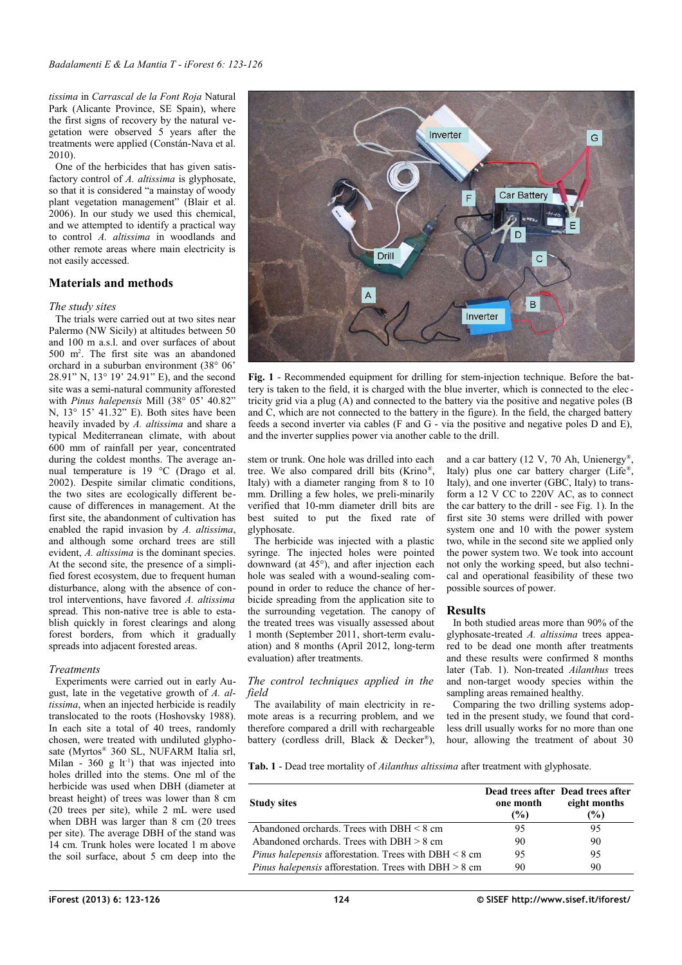*tissima* in *Carrascal de la Font Roja* Natural Park (Alicante Province, SE Spain), where the first signs of recovery by the natural vegetation were observed 5 years after the treatments were applied (Constán-Nava et al. 2010).

One of the herbicides that has given satisfactory control of *A. altissima* is glyphosate, so that it is considered "a mainstay of woody plant vegetation management" (Blair et al. 2006). In our study we used this chemical, and we attempted to identify a practical way to control *A. altissima* in woodlands and other remote areas where main electricity is not easily accessed.

## **Materials and methods**

#### *The study sites*

The trials were carried out at two sites near Palermo (NW Sicily) at altitudes between 50 and 100 m a.s.l. and over surfaces of about 500 m<sup>2</sup> . The first site was an abandoned orchard in a suburban environment (38° 06' 28.91" N, 13° 19' 24.91" E), and the second site was a semi-natural community afforested with *Pinus halepensis* Mill (38° 05' 40.82" N, 13° 15' 41.32" E). Both sites have been heavily invaded by *A. altissima* and share a typical Mediterranean climate, with about 600 mm of rainfall per year, concentrated during the coldest months. The average annual temperature is 19 °C (Drago et al. 2002). Despite similar climatic conditions, the two sites are ecologically different because of differences in management. At the first site, the abandonment of cultivation has enabled the rapid invasion by *A. altissima*, and although some orchard trees are still evident, *A. altissima* is the dominant species. At the second site, the presence of a simplified forest ecosystem, due to frequent human disturbance, along with the absence of control interventions, have favored *A. altissima* spread. This non-native tree is able to establish quickly in forest clearings and along forest borders, from which it gradually spreads into adjacent forested areas.

### *Treatments*

Experiments were carried out in early August, late in the vegetative growth of *A. altissima*, when an injected herbicide is readily translocated to the roots (Hoshovsky 1988). In each site a total of 40 trees, randomly chosen, were treated with undiluted glyphosate (Myrtos® 360 SL, NUFARM Italia srl, Milan -  $360 \text{ g}$  lt<sup>-1</sup>) that was injected into holes drilled into the stems. One ml of the herbicide was used when DBH (diameter at breast height) of trees was lower than 8 cm (20 trees per site), while 2 mL were used when DBH was larger than 8 cm (20 trees per site). The average DBH of the stand was 14 cm. Trunk holes were located 1 m above the soil surface, about 5 cm deep into the



<span id="page-1-0"></span>**Fig. 1** - Recommended equipment for drilling for stem-injection technique. Before the battery is taken to the field, it is charged with the blue inverter, which is connected to the elec tricity grid via a plug (A) and connected to the battery via the positive and negative poles (B and C, which are not connected to the battery in the figure). In the field, the charged battery feeds a second inverter via cables (F and G - via the positive and negative poles D and E), and the inverter supplies power via another cable to the drill.

stem or trunk. One hole was drilled into each tree. We also compared drill bits (Krino® , Italy) with a diameter ranging from 8 to 10 mm. Drilling a few holes, we preli-minarily verified that 10-mm diameter drill bits are best suited to put the fixed rate of glyphosate.

The herbicide was injected with a plastic syringe. The injected holes were pointed downward (at  $45^{\circ}$ ), and after injection each hole was sealed with a wound-sealing compound in order to reduce the chance of herbicide spreading from the application site to the surrounding vegetation. The canopy of the treated trees was visually assessed about 1 month (September 2011, short-term evaluation) and 8 months (April 2012, long-term evaluation) after treatments.

### *The control techniques applied in the field*

The availability of main electricity in remote areas is a recurring problem, and we therefore compared a drill with rechargeable battery (cordless drill, Black & Decker<sup>®</sup>),

and a car battery (12 V, 70 Ah, Unienergy® , Italy) plus one car battery charger (Life® , Italy), and one inverter (GBC, Italy) to transform a 12 V CC to 220V AC, as to connect the car battery to the drill - see [Fig. 1\)](#page-1-0). In the first site 30 stems were drilled with power system one and 10 with the power system two, while in the second site we applied only the power system two. We took into account not only the working speed, but also technical and operational feasibility of these two possible sources of power.

# **Results**

In both studied areas more than 90% of the glyphosate-treated *A. altissima* trees appeared to be dead one month after treatments and these results were confirmed 8 months later [\(Tab. 1\)](#page-1-1). Non-treated *Ailanthus* trees and non-target woody species within the sampling areas remained healthy.

Comparing the two drilling systems adopted in the present study, we found that cordless drill usually works for no more than one hour, allowing the treatment of about 30

<span id="page-1-1"></span>**Tab. 1** - Dead tree mortality of *Ailanthus altissima* after treatment with glyphosate.

| <b>Study sites</b>                                              | one month<br>(%) | Dead trees after Dead trees after<br>eight months<br>$\frac{9}{0}$ |
|-----------------------------------------------------------------|------------------|--------------------------------------------------------------------|
| Abandoned orchards. Trees with $DBH < 8$ cm                     | 95               | 95                                                                 |
| Abandoned orchards. Trees with $DBH > 8$ cm                     | 90               | 90                                                                 |
| <i>Pinus hale pensis</i> afforestation. Trees with $DBH < 8$ cm | 95               | 95                                                                 |
| <i>Pinus hale pensis</i> afforestation. Trees with $DBH > 8$ cm | 90               | 90                                                                 |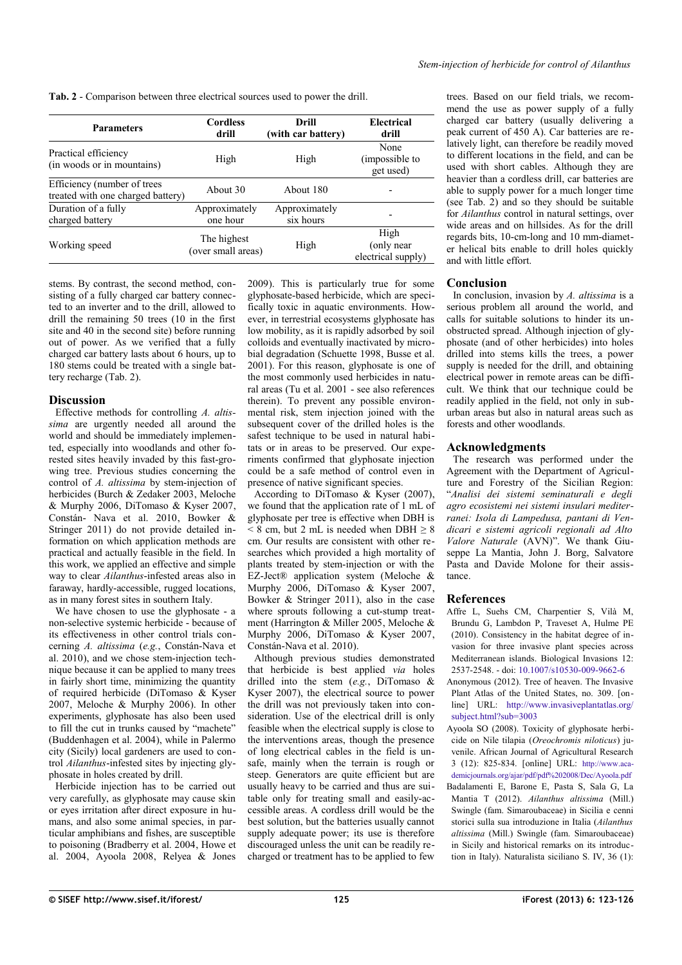<span id="page-2-0"></span>**Tab. 2** - Comparison between three electrical sources used to power the drill.

| <b>Parameters</b>                                                | <b>Cordless</b><br>drill          | Drill<br>(with car battery) | Electrical<br>drill                       |
|------------------------------------------------------------------|-----------------------------------|-----------------------------|-------------------------------------------|
| Practical efficiency<br>(in woods or in mountains)               | High                              | High                        | None<br>(impossible to<br>get used)       |
| Efficiency (number of trees<br>treated with one charged battery) | About 30                          | About 180                   |                                           |
| Duration of a fully<br>charged battery                           | Approximately<br>one hour         | Approximately<br>six hours  |                                           |
| Working speed                                                    | The highest<br>(over small areas) | High                        | High<br>(only near)<br>electrical supply) |

stems. By contrast, the second method, consisting of a fully charged car battery connected to an inverter and to the drill, allowed to drill the remaining 50 trees (10 in the first site and 40 in the second site) before running out of power. As we verified that a fully charged car battery lasts about 6 hours, up to 180 stems could be treated with a single battery recharge [\(Tab. 2\)](#page-2-0).

### **Discussion**

Effective methods for controlling *A. altissima* are urgently needed all around the world and should be immediately implemented, especially into woodlands and other forested sites heavily invaded by this fast-growing tree. Previous studies concerning the control of *A. altissima* by stem-injection of herbicides (Burch & Zedaker 2003, Meloche & Murphy 2006, DiTomaso & Kyser 2007, Constán- Nava et al. 2010, Bowker & Stringer 2011) do not provide detailed information on which application methods are practical and actually feasible in the field. In this work, we applied an effective and simple way to clear *Ailanthus*-infested areas also in faraway, hardly-accessible, rugged locations, as in many forest sites in southern Italy.

We have chosen to use the glyphosate - a non-selective systemic herbicide - because of its effectiveness in other control trials concerning *A. altissima* (*e.g.*, Constán-Nava et al. 2010), and we chose stem-injection technique because it can be applied to many trees in fairly short time, minimizing the quantity of required herbicide (DiTomaso & Kyser 2007, Meloche & Murphy 2006). In other experiments, glyphosate has also been used to fill the cut in trunks caused by "machete" (Buddenhagen et al. 2004), while in Palermo city (Sicily) local gardeners are used to control *Ailanthus*-infested sites by injecting glyphosate in holes created by drill.

Herbicide injection has to be carried out very carefully, as glyphosate may cause skin or eyes irritation after direct exposure in humans, and also some animal species, in particular amphibians and fishes, are susceptible to poisoning (Bradberry et al. 2004, Howe et al. 2004, Ayoola 2008, Relyea & Jones 2009). This is particularly true for some glyphosate-based herbicide, which are specifically toxic in aquatic environments. However, in terrestrial ecosystems glyphosate has low mobility, as it is rapidly adsorbed by soil colloids and eventually inactivated by microbial degradation (Schuette 1998, Busse et al. 2001). For this reason, glyphosate is one of the most commonly used herbicides in natural areas (Tu et al. 2001 - see also references therein). To prevent any possible environmental risk, stem injection joined with the subsequent cover of the drilled holes is the safest technique to be used in natural habitats or in areas to be preserved. Our experiments confirmed that glyphosate injection could be a safe method of control even in presence of native significant species.

According to DiTomaso & Kyser (2007), we found that the application rate of 1 mL of glyphosate per tree is effective when DBH is  $\leq$  8 cm, but 2 mL is needed when DBH  $\geq$  8 cm. Our results are consistent with other researches which provided a high mortality of plants treated by stem-injection or with the  $EZ\text{-}Jet@$  application system (Meloche & Murphy 2006, DiTomaso & Kyser 2007, Bowker & Stringer 2011), also in the case where sprouts following a cut-stump treatment (Harrington & Miller 2005, Meloche & Murphy 2006, DiTomaso & Kyser 2007, Constán-Nava et al. 2010).

Although previous studies demonstrated that herbicide is best applied *via* holes drilled into the stem (*e.g.*, DiTomaso & Kyser 2007), the electrical source to power the drill was not previously taken into consideration. Use of the electrical drill is only feasible when the electrical supply is close to the interventions areas, though the presence of long electrical cables in the field is unsafe, mainly when the terrain is rough or steep. Generators are quite efficient but are usually heavy to be carried and thus are suitable only for treating small and easily-accessible areas. A cordless drill would be the best solution, but the batteries usually cannot supply adequate power; its use is therefore discouraged unless the unit can be readily recharged or treatment has to be applied to few

trees. Based on our field trials, we recommend the use as power supply of a fully charged car battery (usually delivering a peak current of 450 A). Car batteries are relatively light, can therefore be readily moved to different locations in the field, and can be used with short cables. Although they are heavier than a cordless drill, car batteries are able to supply power for a much longer time (see [Tab. 2\)](#page-2-0) and so they should be suitable for *Ailanthus* control in natural settings, over wide areas and on hillsides. As for the drill regards bits, 10-cm-long and 10 mm-diameter helical bits enable to drill holes quickly and with little effort.

## **Conclusion**

In conclusion, invasion by *A. altissima* is a serious problem all around the world, and calls for suitable solutions to hinder its unobstructed spread. Although injection of glyphosate (and of other herbicides) into holes drilled into stems kills the trees, a power supply is needed for the drill, and obtaining electrical power in remote areas can be difficult. We think that our technique could be readily applied in the field, not only in suburban areas but also in natural areas such as forests and other woodlands.

## **Acknowledgments**

The research was performed under the Agreement with the Department of Agriculture and Forestry of the Sicilian Region: "*Analisi dei sistemi seminaturali e degli agro ecosistemi nei sistemi insulari mediterranei: Isola di Lampedusa, pantani di Vendicari e sistemi agricoli regionali ad Alto Valore Naturale* (AVN)". We thank Giuseppe La Mantia, John J. Borg, Salvatore Pasta and Davide Molone for their assistance.

# **References**

- Affre L, Suehs CM, Charpentier S, Vilà M, Brundu G, Lambdon P, Traveset A, Hulme PE (2010). Consistency in the habitat degree of invasion for three invasive plant species across Mediterranean islands. Biological Invasions 12: 2537-2548. - doi: [10.1007/s10530-009-9662-6](http://dx.doi.org/10.1007/s10530-009-9662-6)
- Anonymous (2012). Tree of heaven. The Invasive Plant Atlas of the United States, no. 309. [online] URL: [http://www.invasiveplantatlas.org/](http://www.invasiveplantatlas.org/subject.html?sub=3003) [subject.html?sub=3003](http://www.invasiveplantatlas.org/subject.html?sub=3003)
- Ayoola SO (2008). Toxicity of glyphosate herbicide on Nile tilapia (*Oreochromis niloticus*) juvenile. African Journal of Agricultural Research 3 (12): 825-834. [online] URL: [http://www.aca](http://www.academicjournals.org/ajar/pdf/pdf%202008/Dec/Ayoola.pdf)[demicjournals.org/ajar/pdf/pdf%202008/Dec/Ayoola.pdf](http://www.academicjournals.org/ajar/pdf/pdf%202008/Dec/Ayoola.pdf) Badalamenti E, Barone E, Pasta S, Sala G, La Mantia T (2012). *Ailanthus altissima* (Mill.)
- Swingle (fam. Simaroubaceae) in Sicilia e cenni storici sulla sua introduzione in Italia (*Ailanthus altissima* (Mill.) Swingle (fam. Simaroubaceae) in Sicily and historical remarks on its introduction in Italy). Naturalista siciliano S. IV, 36 (1):